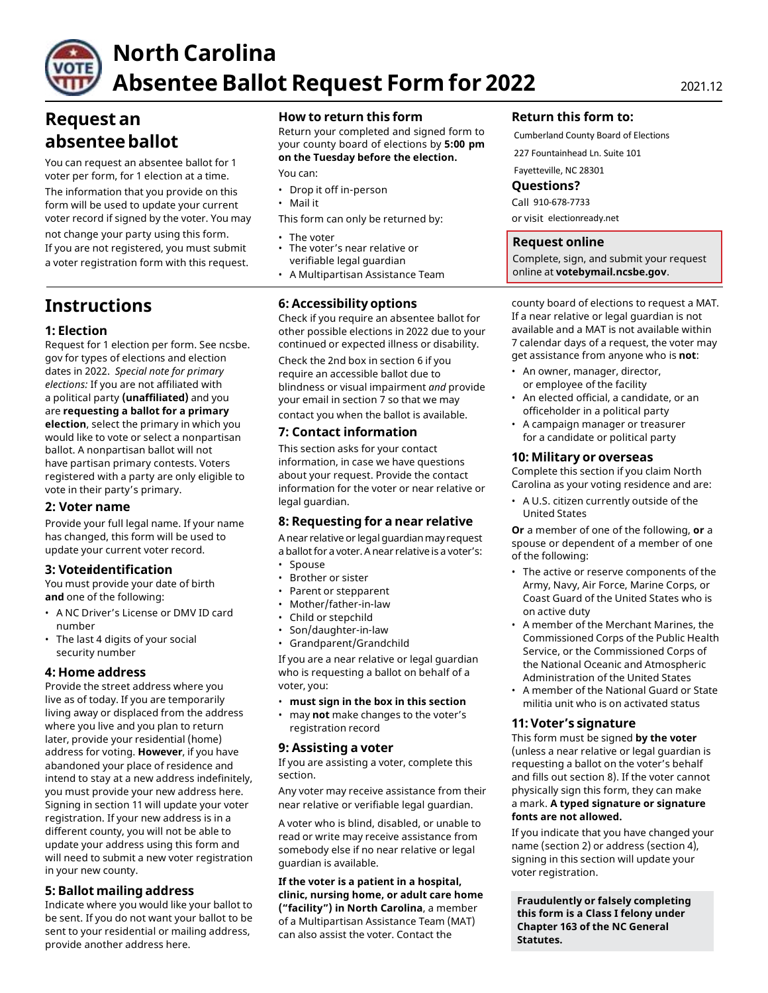

# **North Carolina Absentee Ballot Request Form for 2022** 2021.12

### **Request an absenteeballot**

You can request an absentee ballot for 1 voter per form, for 1 election at a time. The information that you provide on this form will be used to update your current voter record if signed by the voter. You may not change your party using this form.<br>If you are not registered, you must submit  $\cdot$  The voter's near relative or If you are not registered, you must submit

### **Instructions**

#### **1: Election**

Request for 1 election per form. See ncsbe. gov for types of elections and election dates in 2022. *Special note for primary elections:* If you are not affiliated with a political party **(unaffiliated)** and you are **requesting a ballot for a primary election**, select the primary in which you would like to vote or select a nonpartisan ballot. A nonpartisan ballot will not have partisan primary contests. Voters registered with a party are only eligible to vote in their party's primary.

#### **2: Voter name**

Provide your full legal name. If your name has changed, this form will be used to update your current voter record.

#### **3: Voteridentification**

You must provide your date of birth **and** one of the following:

- A NC Driver's License or DMV ID card number
- The last 4 digits of your social security number

#### **4: Home address**

Provide the street address where you live as of today. If you are temporarily living away or displaced from the address where you live and you plan to return later, provide your residential (home) address for voting. **However**, if you have abandoned your place of residence and intend to stay at a new address indefinitely, you must provide your new address here. Signing in section 11 will update your voter registration. If your new address is in a different county, you will not be able to update your address using this form and will need to submit a new voter registration in your new county.

#### **5: Ballot mailing address**

Indicate where you would like your ballot to be sent. If you do not want your ballot to be sent to your residential or mailing address, provide another address here.

#### **How to return this form**

Return your completed and signed form to your county board of elections by **5:00 pm on the Tuesday before the election.**

You can:

- Drop it off in-person
- Mail it

This form can only be returned by:

- a voter registration form with this request. verifiable legal guardian
	- A Multipartisan Assistance Team

#### **6: Accessibility options**

Check if you require an absentee ballot for other possible elections in 2022 due to your continued or expected illness or disability.

Check the 2nd box in section 6 if you require an accessible ballot due to blindness or visual impairment *and* provide your email in section 7 so that we may contact you when the ballot is available.

#### **7: Contact information**

This section asks for your contact information, in case we have questions about your request. Provide the contact information for the voter or near relative or legal guardian.

#### **8: Requesting for a near relative**

A near relative or legal guardianmay request a ballot for a voter. A near relative is a voter's:

- Spouse
- Brother or sister
- Parent or stepparent
- Mother/father-in-law
- Child or stepchild
- Son/daughter-in-law
- Grandparent/Grandchild

If you are a near relative or legal guardian who is requesting a ballot on behalf of a voter, you:

- **must sign in the box in this section**
- may **not** make changes to the voter's registration record

#### **9: Assisting a voter**

If you are assisting a voter, complete this section.

Any voter may receive assistance from their near relative or verifiable legal guardian.

A voter who is blind, disabled, or unable to read or write may receive assistance from somebody else if no near relative or legal guardian is available.

**If the voter is a patient in a hospital, clinic, nursing home, or adult care home ("facility") in North Carolina**, a member of a Multipartisan Assistance Team (MAT) can also assist the voter. Contact the

#### **Return this form to:**

Cumberland County Board of Elections

227 Fountainhead Ln. Suite 101

Fayetteville, NC 28301

#### **Questions?**

Call 910-678-7733

### or visit electionready.net

#### **Request online**

Complete, sign, and submit your request online at **[votebymail.ncsbe.gov](https://votebymail.ncsbe.gov/)**.

county board of elections to request a MAT. If a near relative or legal guardian is not available and a MAT is not available within 7 calendar days of a request, the voter may get assistance from anyone who is **not**:

- An owner, manager, director, or employee of the facility
- An elected official, a candidate, or an officeholder in a political party
- A campaign manager or treasurer for a candidate or political party

#### **10: Military or overseas**

Complete this section if you claim North Carolina as your voting residence and are:

• A U.S. citizen currently outside of the United States

**Or** a member of one of the following, **or** a spouse or dependent of a member of one of the following:

- The active or reserve components of the Army, Navy, Air Force, Marine Corps, or Coast Guard of the United States who is on active duty
- A member of the Merchant Marines, the Commissioned Corps of the Public Health Service, or the Commissioned Corps of the National Oceanic and Atmospheric Administration of the United States
- A member of the National Guard or State militia unit who is on activated status

#### **11:Voter's signature**

This form must be signed **by the voter** (unless a near relative or legal guardian is requesting a ballot on the voter's behalf and fills out section 8). If the voter cannot physically sign this form, they can make a mark. **A typed signature or signature fonts are not allowed.**

If you indicate that you have changed your name (section 2) or address (section 4), signing in this section will update your voter registration.

**Fraudulently or falsely completing this form is a Class I felony under Chapter 163 of the NC General Statutes.**